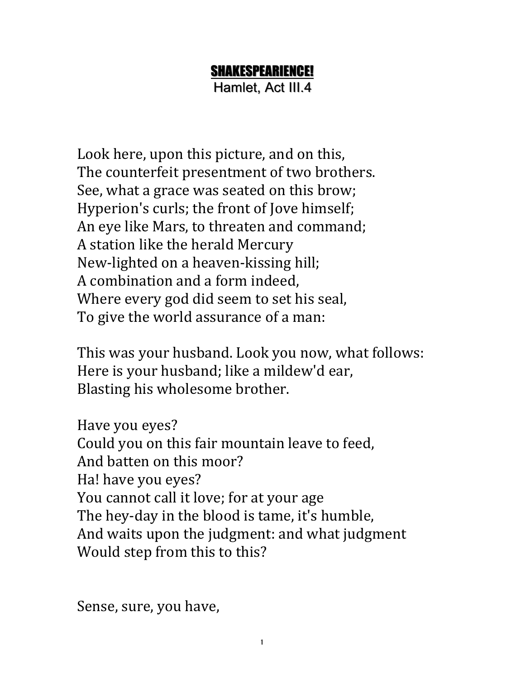## SHAKESPEARIENCE!

Hamlet, Act III.4

Look here, upon this picture, and on this, The counterfeit presentment of two brothers. See, what a grace was seated on this brow; Hyperion's curls; the front of Jove himself; An eye like Mars, to threaten and command; A station like the herald Mercury New-lighted on a heaven-kissing hill; A combination and a form indeed, Where every god did seem to set his seal, To give the world assurance of a man:

This was your husband. Look you now, what follows: Here is your husband; like a mildew'd ear, Blasting his wholesome brother.

Have you eyes? Could you on this fair mountain leave to feed, And batten on this moor? Ha! have you eyes? You cannot call it love; for at your age The hey-day in the blood is tame, it's humble, And waits upon the judgment: and what judgment Would step from this to this?

Sense, sure, you have,